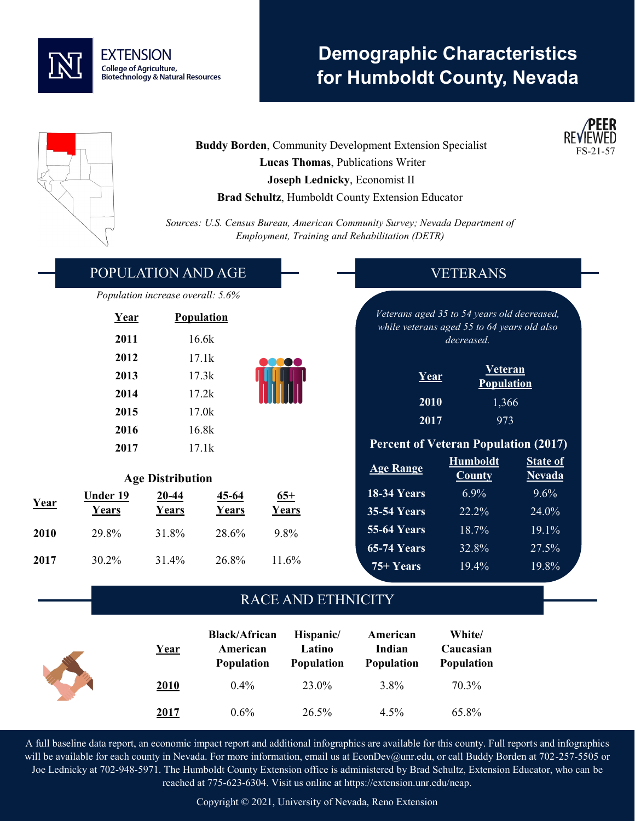

# **Demographic Characteristics for Humboldt County, Nevada**



**Buddy Borden, Community Development Extension Specialist Lucas Thomas**, Publications Writer **Joseph Lednicky**, Economist II **Brad Schultz**, Humboldt County Extension Educator



*Sources: U.S. Census Bureau, American Community Survey; Nevada Department of Employment, Training and Rehabilitation (DETR)*

|      | POPULATION AND AGE        |                                   |              |              | <b>VETERANS</b>    |                                                           |                 |  |  |
|------|---------------------------|-----------------------------------|--------------|--------------|--------------------|-----------------------------------------------------------|-----------------|--|--|
|      |                           | Population increase overall: 5.6% |              |              |                    |                                                           |                 |  |  |
|      | <b>Population</b><br>Year |                                   |              |              |                    | Veterans aged 35 to 54 years old decreased,               |                 |  |  |
|      | 2011                      |                                   | 16.6k        |              |                    | while veterans aged 55 to 64 years old also<br>decreased. |                 |  |  |
|      | 2012                      |                                   | 17.1k        |              |                    |                                                           |                 |  |  |
|      | 2013                      | 17.3k<br>2014<br>17.2k            |              |              |                    | <b>Veteran</b><br>Year<br><b>Population</b>               |                 |  |  |
|      |                           |                                   |              |              | 2010               | 1,366                                                     |                 |  |  |
|      | 2015                      | 17.0k<br>16.8k<br>2016            |              | 2017         | 973                |                                                           |                 |  |  |
|      |                           |                                   |              |              |                    | <b>Percent of Veteran Population (2017)</b>               |                 |  |  |
|      | 2017                      |                                   | 17.1k        |              |                    | <b>Humboldt</b>                                           | <b>State of</b> |  |  |
|      | <b>Age Distribution</b>   |                                   |              |              | <b>Age Range</b>   | <b>County</b>                                             | <b>Nevada</b>   |  |  |
| Year | <b>Under 19</b>           | $20 - 44$                         | $45 - 64$    | $65+$        | 18-34 Years        | 6.9%                                                      | 9.6%            |  |  |
|      | Years                     | <u>Years</u>                      | <u>Years</u> | <u>Years</u> | <b>35-54 Years</b> | 22.2%                                                     | 24.0%           |  |  |
| 2010 | 29.8%                     | 31.8%                             | 28.6%        | 9.8%         | <b>55-64 Years</b> | 18.7%                                                     | 19.1%           |  |  |
|      |                           |                                   |              |              | <b>65-74 Years</b> | 32.8%                                                     | 27.5%           |  |  |
| 2017 | 30.2%                     | 31.4%                             | 26.8%        | 11.6%        | $75+Years$         | 19.4%                                                     | 19.8%           |  |  |
|      |                           |                                   |              |              |                    |                                                           |                 |  |  |

### RACE AND ETHNICITY

| <b>Black/African</b><br><u>Year</u><br>American<br><b>Population</b> | Hispanic/<br>Latino<br><b>Population</b> | American<br>Indian<br><b>Population</b> | White/<br>Caucasian<br><b>Population</b> |       |
|----------------------------------------------------------------------|------------------------------------------|-----------------------------------------|------------------------------------------|-------|
| 2010                                                                 | 0.4%                                     | 23.0%                                   | $3.8\%$                                  | 70.3% |
| <u>2017</u>                                                          | $0.6\%$                                  | 26.5%                                   | $4.5\%$                                  | 65.8% |

A full baseline data report, an economic impact report and additional infographics are available for this county. Full reports and infographics will be available for each county in Nevada. For more information, email us at EconDev@unr.edu, or call Buddy Borden at 702-257-5505 or Joe Lednicky at 702-948-5971. The Humboldt County Extension office is administered by Brad Schultz, Extension Educator, who can be reached at 775-623-6304. Visit us online at https://extension.unr.edu/neap.